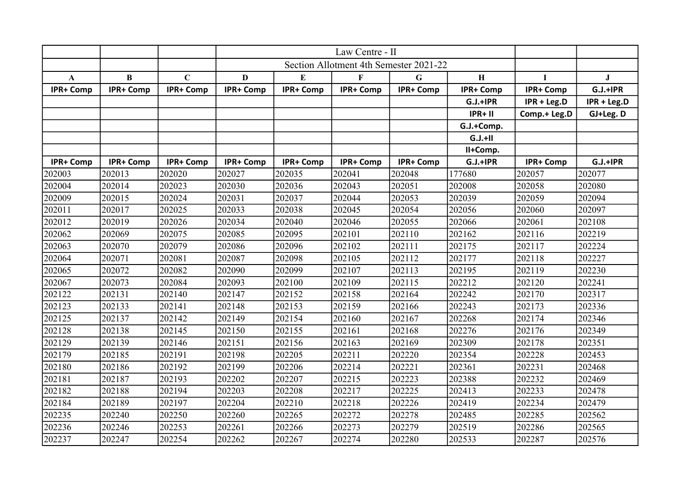|                  |                  |                  | Section Allotment 4th Semester 2021-22 |                  |                  |                  |             |                  |             |
|------------------|------------------|------------------|----------------------------------------|------------------|------------------|------------------|-------------|------------------|-------------|
| $\mathbf{A}$     | $\bf{B}$         | $\mathbf C$      | D                                      | E                | $\mathbf{F}$     | $\mathbf G$      | $\mathbf H$ | 1                | J           |
| <b>IPR+ Comp</b> | <b>IPR+ Comp</b> | <b>IPR+ Comp</b> | <b>IPR+ Comp</b>                       | IPR+ Comp        | IPR+ Comp        | <b>IPR+ Comp</b> | IPR+ Comp   | IPR+ Comp        | $G.J.+IPR$  |
|                  |                  |                  |                                        |                  |                  |                  | $G.J.+IPR$  | IPR + Leg.D      | IPR + Leg.D |
|                  |                  |                  |                                        |                  |                  |                  | $IPR+II$    | Comp.+ Leg.D     | GJ+Leg. D   |
|                  |                  |                  |                                        |                  |                  |                  | G.J.+Comp.  |                  |             |
|                  |                  |                  |                                        |                  |                  |                  | $G.J.+II$   |                  |             |
|                  |                  |                  |                                        |                  |                  |                  | II+Comp.    |                  |             |
| IPR+ Comp        | <b>IPR+ Comp</b> | <b>IPR+ Comp</b> | <b>IPR+ Comp</b>                       | <b>IPR+ Comp</b> | <b>IPR+ Comp</b> | <b>IPR+ Comp</b> | $G.J.+IPR$  | <b>IPR+ Comp</b> | $G.J.+IPR$  |
| 202003           | 202013           | 202020           | 202027                                 | 202035           | 202041           | 202048           | 177680      | 202057           | 202077      |
| 202004           | 202014           | 202023           | 202030                                 | 202036           | 202043           | 202051           | 202008      | 202058           | 202080      |
| 202009           | 202015           | 202024           | 202031                                 | 202037           | 202044           | 202053           | 202039      | 202059           | 202094      |
| 202011           | 202017           | 202025           | 202033                                 | 202038           | 202045           | 202054           | 202056      | 202060           | 202097      |
| 202012           | 202019           | 202026           | 202034                                 | 202040           | 202046           | 202055           | 202066      | 202061           | 202108      |
| 202062           | 202069           | 202075           | 202085                                 | 202095           | 202101           | 202110           | 202162      | 202116           | 202219      |
| 202063           | 202070           | 202079           | 202086                                 | 202096           | 202102           | 202111           | 202175      | 202117           | 202224      |
| 202064           | 202071           | 202081           | 202087                                 | 202098           | 202105           | 202112           | 202177      | 202118           | 202227      |
| 202065           | 202072           | 202082           | 202090                                 | 202099           | 202107           | 202113           | 202195      | 202119           | 202230      |
| 202067           | 202073           | 202084           | 202093                                 | 202100           | 202109           | 202115           | 202212      | 202120           | 202241      |
| 202122           | 202131           | 202140           | 202147                                 | 202152           | 202158           | 202164           | 202242      | 202170           | 202317      |
| 202123           | 202133           | 202141           | 202148                                 | 202153           | 202159           | 202166           | 202243      | 202173           | 202336      |
| 202125           | 202137           | 202142           | 202149                                 | 202154           | 202160           | 202167           | 202268      | 202174           | 202346      |
| 202128           | 202138           | 202145           | 202150                                 | 202155           | 202161           | 202168           | 202276      | 202176           | 202349      |
| 202129           | 202139           | 202146           | 202151                                 | 202156           | 202163           | 202169           | 202309      | 202178           | 202351      |
| 202179           | 202185           | 202191           | 202198                                 | 202205           | 202211           | 202220           | 202354      | 202228           | 202453      |
| 202180           | 202186           | 202192           | 202199                                 | 202206           | 202214           | 202221           | 202361      | 202231           | 202468      |
| 202181           | 202187           | 202193           | 202202                                 | 202207           | 202215           | 202223           | 202388      | 202232           | 202469      |
| 202182           | 202188           | 202194           | 202203                                 | 202208           | 202217           | 202225           | 202413      | 202233           | 202478      |
| 202184           | 202189           | 202197           | 202204                                 | 202210           | 202218           | 202226           | 202419      | 202234           | 202479      |
| 202235           | 202240           | 202250           | 202260                                 | 202265           | 202272           | 202278           | 202485      | 202285           | 202562      |
| 202236           | 202246           | 202253           | 202261                                 | 202266           | 202273           | 202279           | 202519      | 202286           | 202565      |
| 202237           | 202247           | 202254           | 202262                                 | 202267           | 202274           | 202280           | 202533      | 202287           | 202576      |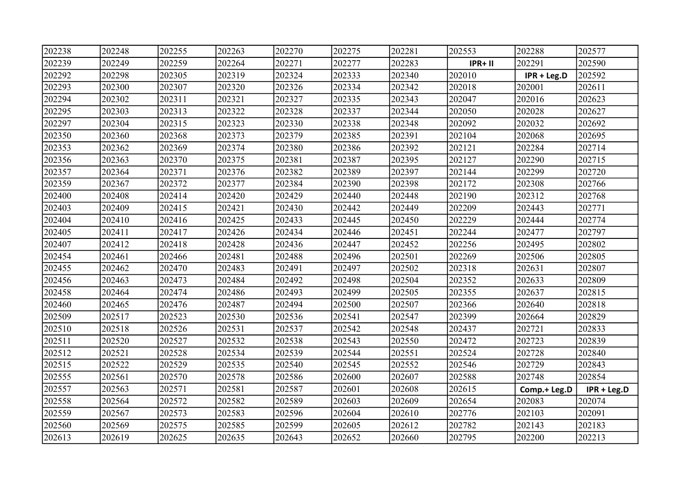| 202238 | 202248 | 202255 | 202263 | 202270 | 202275 | 202281 | 202553  | 202288       | 202577      |
|--------|--------|--------|--------|--------|--------|--------|---------|--------------|-------------|
| 202239 | 202249 | 202259 | 202264 | 202271 | 202277 | 202283 | IPR+ II | 202291       | 202590      |
| 202292 | 202298 | 202305 | 202319 | 202324 | 202333 | 202340 | 202010  | IPR + Leg.D  | 202592      |
| 202293 | 202300 | 202307 | 202320 | 202326 | 202334 | 202342 | 202018  | 202001       | 202611      |
| 202294 | 202302 | 202311 | 202321 | 202327 | 202335 | 202343 | 202047  | 202016       | 202623      |
| 202295 | 202303 | 202313 | 202322 | 202328 | 202337 | 202344 | 202050  | 202028       | 202627      |
| 202297 | 202304 | 202315 | 202323 | 202330 | 202338 | 202348 | 202092  | 202032       | 202692      |
| 202350 | 202360 | 202368 | 202373 | 202379 | 202385 | 202391 | 202104  | 202068       | 202695      |
| 202353 | 202362 | 202369 | 202374 | 202380 | 202386 | 202392 | 202121  | 202284       | 202714      |
| 202356 | 202363 | 202370 | 202375 | 202381 | 202387 | 202395 | 202127  | 202290       | 202715      |
| 202357 | 202364 | 202371 | 202376 | 202382 | 202389 | 202397 | 202144  | 202299       | 202720      |
| 202359 | 202367 | 202372 | 202377 | 202384 | 202390 | 202398 | 202172  | 202308       | 202766      |
| 202400 | 202408 | 202414 | 202420 | 202429 | 202440 | 202448 | 202190  | 202312       | 202768      |
| 202403 | 202409 | 202415 | 202421 | 202430 | 202442 | 202449 | 202209  | 202443       | 202771      |
| 202404 | 202410 | 202416 | 202425 | 202433 | 202445 | 202450 | 202229  | 202444       | 202774      |
| 202405 | 202411 | 202417 | 202426 | 202434 | 202446 | 202451 | 202244  | 202477       | 202797      |
| 202407 | 202412 | 202418 | 202428 | 202436 | 202447 | 202452 | 202256  | 202495       | 202802      |
| 202454 | 202461 | 202466 | 202481 | 202488 | 202496 | 202501 | 202269  | 202506       | 202805      |
| 202455 | 202462 | 202470 | 202483 | 202491 | 202497 | 202502 | 202318  | 202631       | 202807      |
| 202456 | 202463 | 202473 | 202484 | 202492 | 202498 | 202504 | 202352  | 202633       | 202809      |
| 202458 | 202464 | 202474 | 202486 | 202493 | 202499 | 202505 | 202355  | 202637       | 202815      |
| 202460 | 202465 | 202476 | 202487 | 202494 | 202500 | 202507 | 202366  | 202640       | 202818      |
| 202509 | 202517 | 202523 | 202530 | 202536 | 202541 | 202547 | 202399  | 202664       | 202829      |
| 202510 | 202518 | 202526 | 202531 | 202537 | 202542 | 202548 | 202437  | 202721       | 202833      |
| 202511 | 202520 | 202527 | 202532 | 202538 | 202543 | 202550 | 202472  | 202723       | 202839      |
| 202512 | 202521 | 202528 | 202534 | 202539 | 202544 | 202551 | 202524  | 202728       | 202840      |
| 202515 | 202522 | 202529 | 202535 | 202540 | 202545 | 202552 | 202546  | 202729       | 202843      |
| 202555 | 202561 | 202570 | 202578 | 202586 | 202600 | 202607 | 202588  | 202748       | 202854      |
| 202557 | 202563 | 202571 | 202581 | 202587 | 202601 | 202608 | 202615  | Comp.+ Leg.D | IPR + Leg.D |
| 202558 | 202564 | 202572 | 202582 | 202589 | 202603 | 202609 | 202654  | 202083       | 202074      |
| 202559 | 202567 | 202573 | 202583 | 202596 | 202604 | 202610 | 202776  | 202103       | 202091      |
| 202560 | 202569 | 202575 | 202585 | 202599 | 202605 | 202612 | 202782  | 202143       | 202183      |
| 202613 | 202619 | 202625 | 202635 | 202643 | 202652 | 202660 | 202795  | 202200       | 202213      |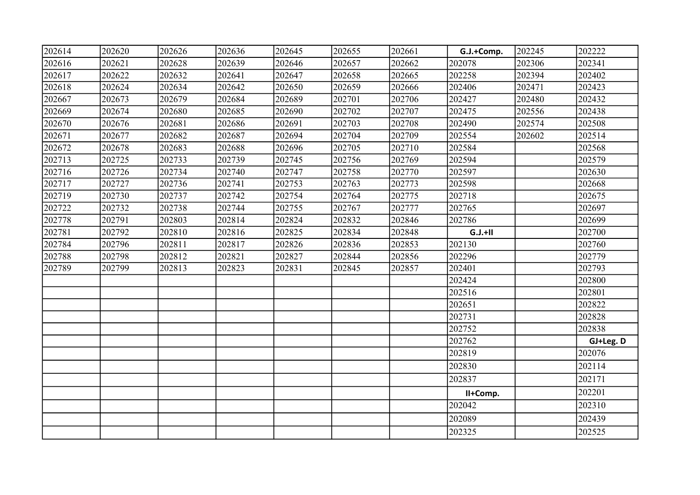| 202614 | 202620 | 202626 | 202636 | 202645 | 202655 | 202661 | G.J.+Comp. | 202245 | 202222    |
|--------|--------|--------|--------|--------|--------|--------|------------|--------|-----------|
| 202616 | 202621 | 202628 | 202639 | 202646 | 202657 | 202662 | 202078     | 202306 | 202341    |
| 202617 | 202622 | 202632 | 202641 | 202647 | 202658 | 202665 | 202258     | 202394 | 202402    |
| 202618 | 202624 | 202634 | 202642 | 202650 | 202659 | 202666 | 202406     | 202471 | 202423    |
| 202667 | 202673 | 202679 | 202684 | 202689 | 202701 | 202706 | 202427     | 202480 | 202432    |
| 202669 | 202674 | 202680 | 202685 | 202690 | 202702 | 202707 | 202475     | 202556 | 202438    |
| 202670 | 202676 | 202681 | 202686 | 202691 | 202703 | 202708 | 202490     | 202574 | 202508    |
| 202671 | 202677 | 202682 | 202687 | 202694 | 202704 | 202709 | 202554     | 202602 | 202514    |
| 202672 | 202678 | 202683 | 202688 | 202696 | 202705 | 202710 | 202584     |        | 202568    |
| 202713 | 202725 | 202733 | 202739 | 202745 | 202756 | 202769 | 202594     |        | 202579    |
| 202716 | 202726 | 202734 | 202740 | 202747 | 202758 | 202770 | 202597     |        | 202630    |
| 202717 | 202727 | 202736 | 202741 | 202753 | 202763 | 202773 | 202598     |        | 202668    |
| 202719 | 202730 | 202737 | 202742 | 202754 | 202764 | 202775 | 202718     |        | 202675    |
| 202722 | 202732 | 202738 | 202744 | 202755 | 202767 | 202777 | 202765     |        | 202697    |
| 202778 | 202791 | 202803 | 202814 | 202824 | 202832 | 202846 | 202786     |        | 202699    |
| 202781 | 202792 | 202810 | 202816 | 202825 | 202834 | 202848 | $G.J.+II$  |        | 202700    |
| 202784 | 202796 | 202811 | 202817 | 202826 | 202836 | 202853 | 202130     |        | 202760    |
| 202788 | 202798 | 202812 | 202821 | 202827 | 202844 | 202856 | 202296     |        | 202779    |
| 202789 | 202799 | 202813 | 202823 | 202831 | 202845 | 202857 | 202401     |        | 202793    |
|        |        |        |        |        |        |        | 202424     |        | 202800    |
|        |        |        |        |        |        |        | 202516     |        | 202801    |
|        |        |        |        |        |        |        | 202651     |        | 202822    |
|        |        |        |        |        |        |        | 202731     |        | 202828    |
|        |        |        |        |        |        |        | 202752     |        | 202838    |
|        |        |        |        |        |        |        | 202762     |        | GJ+Leg. D |
|        |        |        |        |        |        |        | 202819     |        | 202076    |
|        |        |        |        |        |        |        | 202830     |        | 202114    |
|        |        |        |        |        |        |        | 202837     |        | 202171    |
|        |        |        |        |        |        |        | II+Comp.   |        | 202201    |
|        |        |        |        |        |        |        | 202042     |        | 202310    |
|        |        |        |        |        |        |        | 202089     |        | 202439    |
|        |        |        |        |        |        |        | 202325     |        | 202525    |